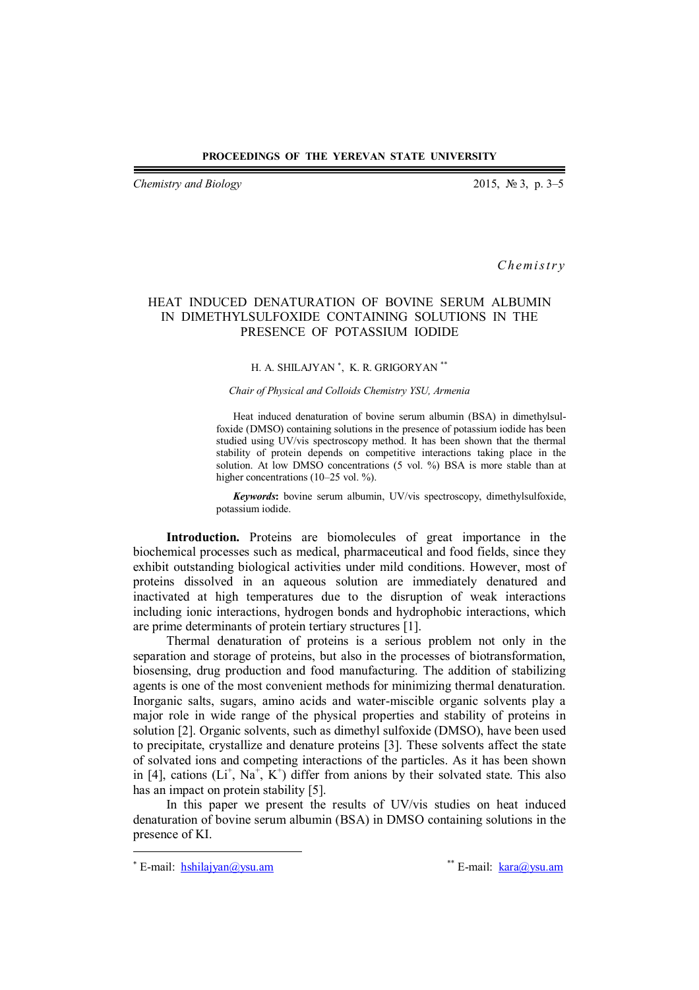*Chemistry and Biology* 2015, № 3, p. 3–5

*C h em i s t r y*

## HEAT INDUCED DENATURATION OF BOVINE SERUM ALBUMIN IN DIMETHYLSULFOXIDE CONTAINING SOLUTIONS IN THE PRESENCE OF POTASSIUM IODIDE

## H. A. SHILAJYAN<sup>\*</sup>, K. R. GRIGORYAN<sup>\*\*</sup>

## *Chair of Physical and Colloids Chemistry YSU, Armenia*

Heat induced denaturation of bovine serum albumin (BSA) in dimethylsulfoxide (DMSO) containing solutions in the presence of potassium iodide has been studied using UV/vis spectroscopy method. It has been shown that the thermal stability of protein depends on competitive interactions taking place in the solution. At low DMSO concentrations (5 vol. %) BSA is more stable than at higher concentrations (10–25 vol. %).

*Keywords***:** bovine serum albumin, UV/vis spectroscopy, dimethylsulfoxide, potassium iodide.

**Introduction.** Proteins are biomolecules of great importance in the biochemical processes such as medical, pharmaceutical and food fields, since they exhibit outstanding biological activities under mild conditions. However, most of proteins dissolved in an aqueous solution are immediately denatured and inactivated at high temperatures due to the disruption of weak interactions including ionic interactions, hydrogen bonds and hydrophobic interactions, which are prime determinants of protein tertiary structures [1].

Thermal denaturation of proteins is a serious problem not only in the separation and storage of proteins, but also in the processes of biotransformation, biosensing, drug production and food manufacturing. The addition of stabilizing agents is one of the most convenient methods for minimizing thermal denaturation. Inorganic salts, sugars, amino acids and water-miscible organic solvents play a major role in wide range of the physical properties and stability of proteins in solution [2]. Organic solvents, such as dimethyl sulfoxide (DMSO), have been used to precipitate, crystallize and denature proteins [3]. These solvents affect the state of solvated ions and competing interactions of the particles. As it has been shown in [4], cations  $(L<sup>+</sup>, Na<sup>+</sup>, K<sup>+</sup>)$  differ from anions by their solvated state. This also has an impact on protein stability [5].

In this paper we present the results of UV/vis studies on heat induced denaturation of bovine serum albumin (BSA) in DMSO containing solutions in the presence of KI.

 $\overline{a}$ 

\*\* E-mail: kara@ysu.am

<sup>\*</sup> E-mail: hshilajyan@ysu.am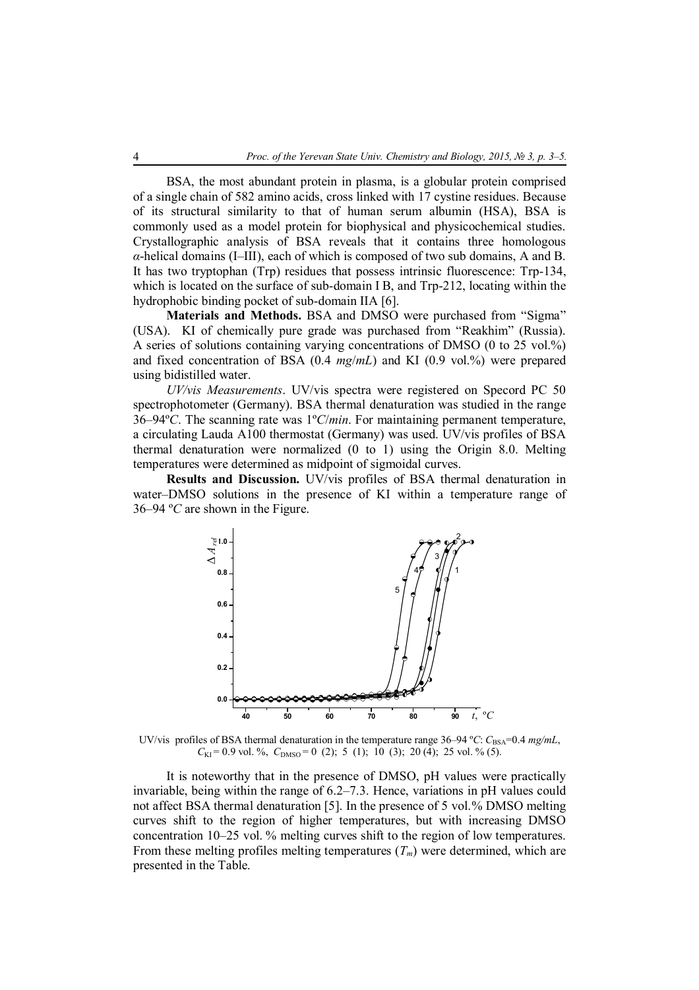BSA, the most abundant protein in plasma, is a globular protein comprised of a single chain of 582 amino acids, cross linked with 17 cystine residues. Because of its structural similarity to that of human serum albumin (HSA), BSA is commonly used as a model protein for biophysical and physicochemical studies. Crystallographic analysis of BSA reveals that it contains three homologous *α*-helical domains (I–III), each of which is composed of two sub domains, A and B. It has two tryptophan (Trp) residues that possess intrinsic fluorescence: Trp-134, which is located on the surface of sub-domain I B, and Trp-212, locating within the hydrophobic binding pocket of sub-domain IIA [6].

**Materials and Methods.** BSA and DMSO were purchased from "Sigma" (USA). KI of chemically pure grade was purchased from "Reakhim" (Russia). A series of solutions containing varying concentrations of DMSO (0 to 25 vol.%) and fixed concentration of BSA (0.4 *mg*/*mL*) and KI (0.9 vol.%) were prepared using bidistilled water.

*UV/vis Measurements*. UV/vis spectra were registered on Specord PC 50 spectrophotometer (Germany). BSA thermal denaturation was studied in the range 36–94º*C*. The scanning rate was 1º*C*/*min*. For maintaining permanent temperature, a circulating Lauda A100 thermostat (Germany) was used. UV/vis profiles of BSA thermal denaturation were normalized (0 to 1) using the Origin 8.0. Melting temperatures were determined as midpoint of sigmoidal curves.

**Results and Discussion.** UV/vis profiles of BSA thermal denaturation in water–DMSO solutions in the presence of KI within a temperature range of 36–94 º*C* are shown in the Figure.



UV/vis profiles of BSA thermal denaturation in the temperature range 36–94 °*C*:  $C_{BSA}$ =0.4 *mg/mL*,  $C_{\text{KI}}$  = 0.9 vol. %,  $C_{\text{DMSO}}$  = 0 (2); 5 (1); 10 (3); 20 (4); 25 vol. % (5).

It is noteworthy that in the presence of DMSO, pH values were practically invariable, being within the range of 6.2–7.3. Hence, variations in pH values could not affect BSA thermal denaturation [5]. In the presence of 5 vol.% DMSO melting curves shift to the region of higher temperatures, but with increasing DMSO concentration 10–25 vol. % melting curves shift to the region of low temperatures. From these melting profiles melting temperatures (*Tm*) were determined, which are presented in the Table.